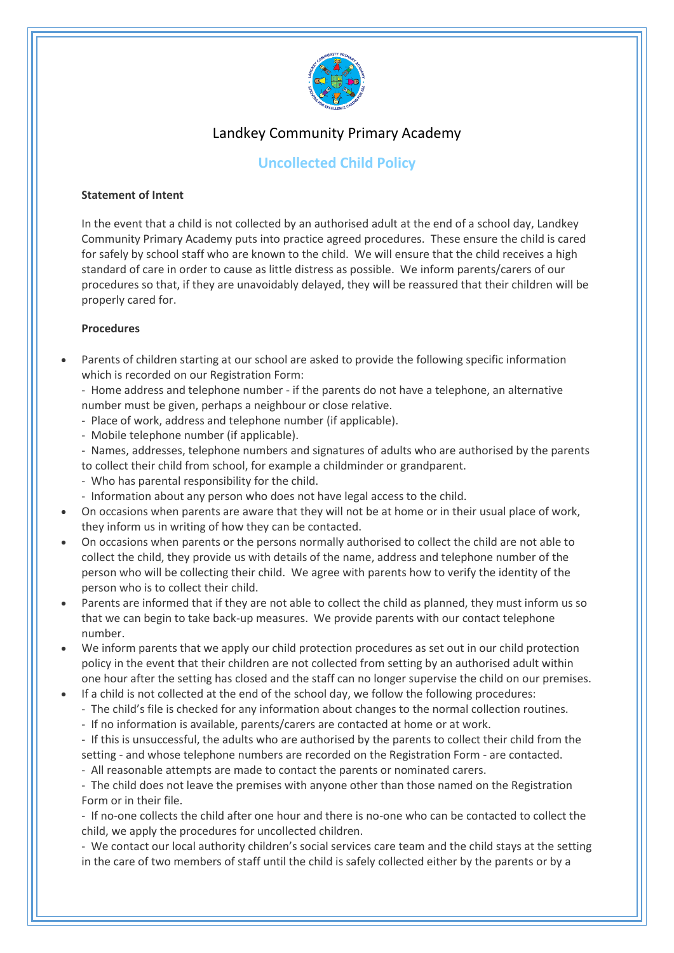

## Landkey Community Primary Academy

## **Uncollected Child Policy**

## **Statement of Intent**

In the event that a child is not collected by an authorised adult at the end of a school day, Landkey Community Primary Academy puts into practice agreed procedures. These ensure the child is cared for safely by school staff who are known to the child. We will ensure that the child receives a high standard of care in order to cause as little distress as possible. We inform parents/carers of our procedures so that, if they are unavoidably delayed, they will be reassured that their children will be properly cared for.

## **Procedures**

- Parents of children starting at our school are asked to provide the following specific information which is recorded on our Registration Form:
	- Home address and telephone number if the parents do not have a telephone, an alternative number must be given, perhaps a neighbour or close relative.
	- Place of work, address and telephone number (if applicable).
	- Mobile telephone number (if applicable).
	- Names, addresses, telephone numbers and signatures of adults who are authorised by the parents to collect their child from school, for example a childminder or grandparent.
	- Who has parental responsibility for the child.
	- Information about any person who does not have legal access to the child.
- On occasions when parents are aware that they will not be at home or in their usual place of work, they inform us in writing of how they can be contacted.
- On occasions when parents or the persons normally authorised to collect the child are not able to collect the child, they provide us with details of the name, address and telephone number of the person who will be collecting their child. We agree with parents how to verify the identity of the person who is to collect their child.
- Parents are informed that if they are not able to collect the child as planned, they must inform us so that we can begin to take back-up measures. We provide parents with our contact telephone number.
- We inform parents that we apply our child protection procedures as set out in our child protection policy in the event that their children are not collected from setting by an authorised adult within one hour after the setting has closed and the staff can no longer supervise the child on our premises.
- If a child is not collected at the end of the school day, we follow the following procedures:
	- The child's file is checked for any information about changes to the normal collection routines.
	- If no information is available, parents/carers are contacted at home or at work.
	- If this is unsuccessful, the adults who are authorised by the parents to collect their child from the setting - and whose telephone numbers are recorded on the Registration Form - are contacted.
	- All reasonable attempts are made to contact the parents or nominated carers.

- The child does not leave the premises with anyone other than those named on the Registration Form or in their file.

- If no-one collects the child after one hour and there is no-one who can be contacted to collect the child, we apply the procedures for uncollected children.

- We contact our local authority children's social services care team and the child stays at the setting in the care of two members of staff until the child is safely collected either by the parents or by a